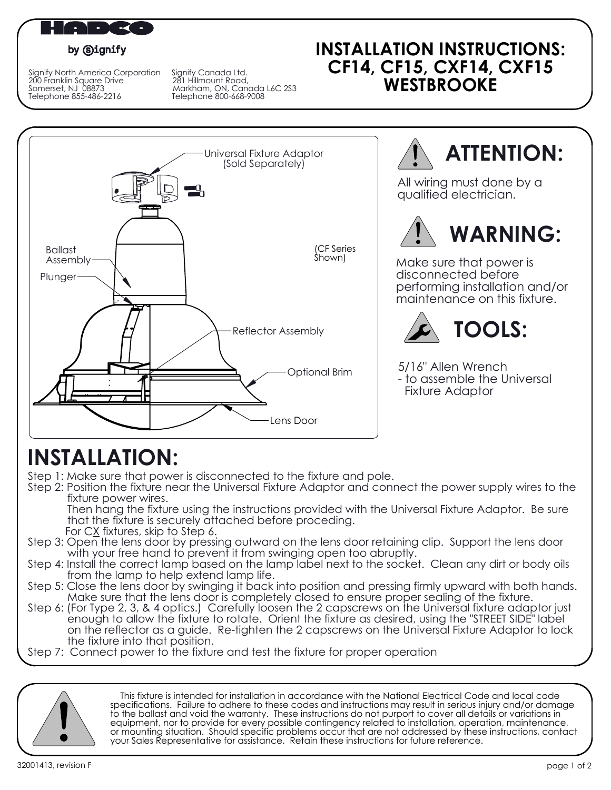

#### by **Signify**

Signify North America Corporation Signify Canada Ltd. 200 Franklin Square Drive 281 Hillmount Road, Signify North America Corporation Signify Canada Ltd.<br>200 Franklin Square Drive 281 Hillmount Road,<br>30 Markham, ON, Canada L6C 2S3<br>Telephone 855-486-2216 Telephone 800-668-9008 Telephone 855-486-2216

### **INSTALLATION INSTRUCTIONS: CF14, CF15, CXF14, CXF15 WESTBROOKE**



**ATTENTION:**

All wiring must done by a qualified electrician.



Make sure that power is disconnected before performing installation and/or maintenance on this fixture.



5/16" Allen Wrench - to assemble the Universal Fixture Adaptor

## **INSTALLATION:**

- Step 1: Make sure that power is disconnected to the fixture and pole.
- Step 2: Position the fixture near the Universal Fixture Adaptor and connect the power supply wires to the fixture power wires.

 Then hang the fixture using the instructions provided with the Universal Fixture Adaptor. Be sure that the fixture is securely attached before proceding. For CX fixtures, skip to Step 6.

- Step 3: Open the lens door by pressing outward on the lens door retaining clip. Support the lens door with your free hand to prevent it from swinging open too abruptly.
- Step 4: Install the correct lamp based on the lamp label next to the socket. Clean any dirt or body oils from the lamp to help extend lamp life.
- Step 5: Close the lens door by swinging it back into position and pressing firmly upward with both hands. Make sure that the lens door is completely closed to ensure proper sealing of the fixture.
- Step 6: (For Type 2, 3, & 4 optics.) Carefully loosen the 2 capscrews on the Universal fixture adaptor just enough to allow the fixture to rotate. Orient the fixture as desired, using the "STREET SIDE" label on the reflector as a guide. Re-tighten the 2 capscrews on the Universal Fixture Adaptor to lock the fixture into that position.
- Step 7: Connect power to the fixture and test the fixture for proper operation



 This fixture is intended for installation in accordance with the National Electrical Code and local code specifications. Failure to adhere to these codes and instructions may result in serious injury and/or damage to the ballast and void the warranty. These instructions do not purport to cover all details or variations in equipment, nor to provide for every possible contingency related to installation, operation, maintenance, or mounting situation. Should specific problems occur that are not addressed by these instructions, contact your Sales Representative for assistance. Retain these instructions for future reference.